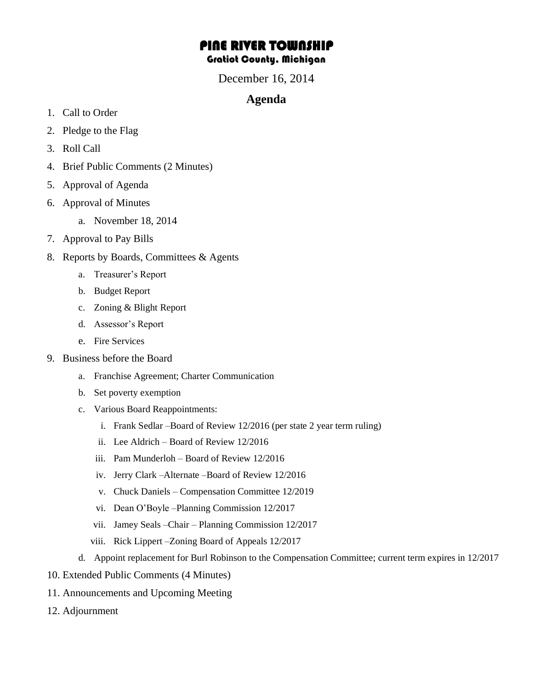## PINE RIVER TOWNSHIP Gratiot County, Michigan

December 16, 2014

## **Agenda**

- 1. Call to Order
- 2. Pledge to the Flag
- 3. Roll Call
- 4. Brief Public Comments (2 Minutes)
- 5. Approval of Agenda
- 6. Approval of Minutes
	- a. November 18, 2014
- 7. Approval to Pay Bills
- 8. Reports by Boards, Committees & Agents
	- a. Treasurer's Report
	- b. Budget Report
	- c. Zoning & Blight Report
	- d. Assessor's Report
	- e. Fire Services
- 9. Business before the Board
	- a. Franchise Agreement; Charter Communication
	- b. Set poverty exemption
	- c. Various Board Reappointments:
		- i. Frank Sedlar –Board of Review 12/2016 (per state 2 year term ruling)
		- ii. Lee Aldrich Board of Review 12/2016
		- iii. Pam Munderloh Board of Review 12/2016
		- iv. Jerry Clark –Alternate –Board of Review 12/2016
		- v. Chuck Daniels Compensation Committee 12/2019
		- vi. Dean O'Boyle –Planning Commission 12/2017
		- vii. Jamey Seals –Chair Planning Commission 12/2017
		- viii. Rick Lippert –Zoning Board of Appeals 12/2017
	- d. Appoint replacement for Burl Robinson to the Compensation Committee; current term expires in 12/2017
- 10. Extended Public Comments (4 Minutes)
- 11. Announcements and Upcoming Meeting
- 12. Adjournment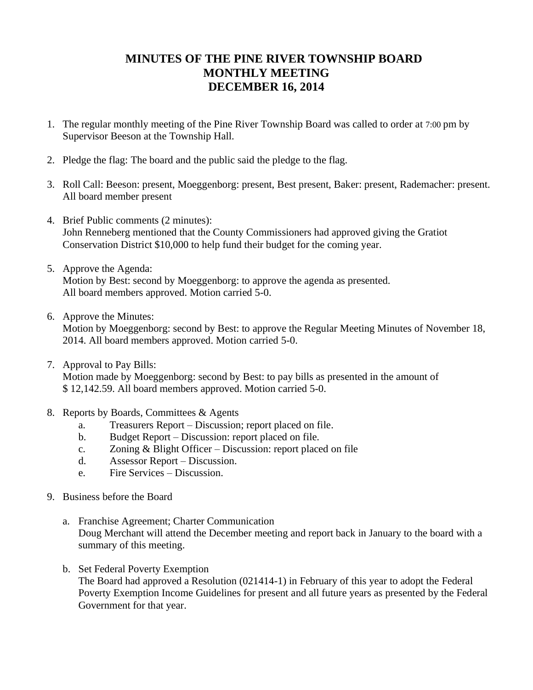## **MINUTES OF THE PINE RIVER TOWNSHIP BOARD MONTHLY MEETING DECEMBER 16, 2014**

- 1. The regular monthly meeting of the Pine River Township Board was called to order at 7:00 pm by Supervisor Beeson at the Township Hall.
- 2. Pledge the flag: The board and the public said the pledge to the flag.
- 3. Roll Call: Beeson: present, Moeggenborg: present, Best present, Baker: present, Rademacher: present. All board member present
- 4. Brief Public comments (2 minutes): John Renneberg mentioned that the County Commissioners had approved giving the Gratiot Conservation District \$10,000 to help fund their budget for the coming year.
- 5. Approve the Agenda: Motion by Best: second by Moeggenborg: to approve the agenda as presented. All board members approved. Motion carried 5-0.
- 6. Approve the Minutes: Motion by Moeggenborg: second by Best: to approve the Regular Meeting Minutes of November 18, 2014. All board members approved. Motion carried 5-0.
- 7. Approval to Pay Bills: Motion made by Moeggenborg: second by Best: to pay bills as presented in the amount of \$ 12,142.59. All board members approved. Motion carried 5-0.
- 8. Reports by Boards, Committees & Agents
	- a. Treasurers Report Discussion; report placed on file.
	- b. Budget Report Discussion: report placed on file.
	- c. Zoning & Blight Officer Discussion: report placed on file
	- d. Assessor Report Discussion.
	- e. Fire Services Discussion.
- 9. Business before the Board
	- a. Franchise Agreement; Charter Communication Doug Merchant will attend the December meeting and report back in January to the board with a summary of this meeting.
	- b. Set Federal Poverty Exemption

The Board had approved a Resolution (021414-1) in February of this year to adopt the Federal Poverty Exemption Income Guidelines for present and all future years as presented by the Federal Government for that year.